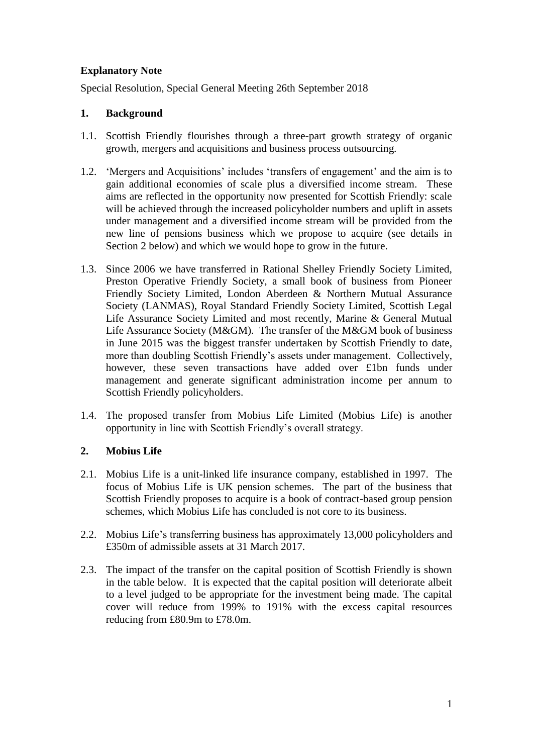# **Explanatory Note**

Special Resolution, Special General Meeting 26th September 2018

## **1. Background**

- 1.1. Scottish Friendly flourishes through a three-part growth strategy of organic growth, mergers and acquisitions and business process outsourcing.
- 1.2. 'Mergers and Acquisitions' includes 'transfers of engagement' and the aim is to gain additional economies of scale plus a diversified income stream. These aims are reflected in the opportunity now presented for Scottish Friendly: scale will be achieved through the increased policyholder numbers and uplift in assets under management and a diversified income stream will be provided from the new line of pensions business which we propose to acquire (see details in Section 2 below) and which we would hope to grow in the future.
- 1.3. Since 2006 we have transferred in Rational Shelley Friendly Society Limited, Preston Operative Friendly Society, a small book of business from Pioneer Friendly Society Limited, London Aberdeen & Northern Mutual Assurance Society (LANMAS), Royal Standard Friendly Society Limited, Scottish Legal Life Assurance Society Limited and most recently, Marine & General Mutual Life Assurance Society (M&GM). The transfer of the M&GM book of business in June 2015 was the biggest transfer undertaken by Scottish Friendly to date, more than doubling Scottish Friendly's assets under management. Collectively, however, these seven transactions have added over £1bn funds under management and generate significant administration income per annum to Scottish Friendly policyholders.
- 1.4. The proposed transfer from Mobius Life Limited (Mobius Life) is another opportunity in line with Scottish Friendly's overall strategy.

## **2. Mobius Life**

- 2.1. Mobius Life is a unit-linked life insurance company, established in 1997. The focus of Mobius Life is UK pension schemes. The part of the business that Scottish Friendly proposes to acquire is a book of contract-based group pension schemes, which Mobius Life has concluded is not core to its business.
- 2.2. Mobius Life's transferring business has approximately 13,000 policyholders and £350m of admissible assets at 31 March 2017.
- 2.3. The impact of the transfer on the capital position of Scottish Friendly is shown in the table below. It is expected that the capital position will deteriorate albeit to a level judged to be appropriate for the investment being made. The capital cover will reduce from 199% to 191% with the excess capital resources reducing from £80.9m to £78.0m.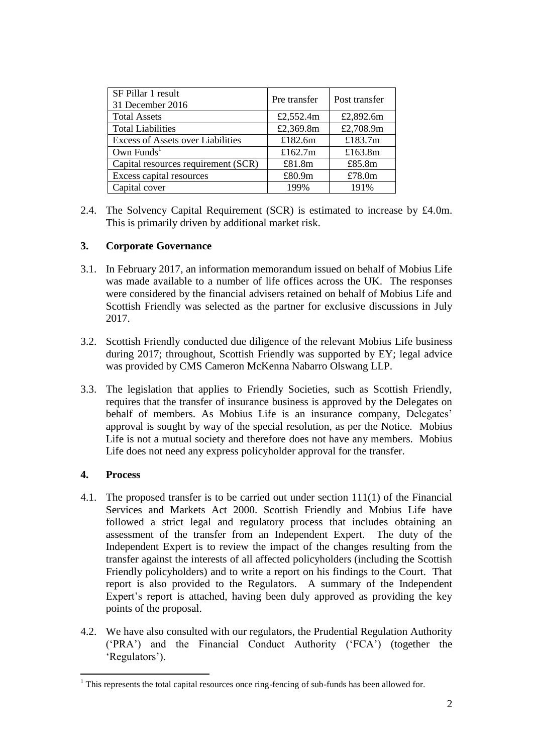| SF Pillar 1 result<br>31 December 2016   | Pre transfer | Post transfer |
|------------------------------------------|--------------|---------------|
| <b>Total Assets</b>                      | £2,552.4m    | £2,892.6m     |
| <b>Total Liabilities</b>                 | £2,369.8m    | £2,708.9m     |
| <b>Excess of Assets over Liabilities</b> | £182.6m      | £183.7m       |
| Own $Funds1$                             | £162.7m      | £163.8m       |
| Capital resources requirement (SCR)      | £81.8m       | £85.8m        |
| Excess capital resources                 | £80.9m       | £78.0m        |
| Capital cover                            | 199%         | 191%          |

2.4. The Solvency Capital Requirement (SCR) is estimated to increase by £4.0m. This is primarily driven by additional market risk.

## **3. Corporate Governance**

- 3.1. In February 2017, an information memorandum issued on behalf of Mobius Life was made available to a number of life offices across the UK. The responses were considered by the financial advisers retained on behalf of Mobius Life and Scottish Friendly was selected as the partner for exclusive discussions in July 2017.
- 3.2. Scottish Friendly conducted due diligence of the relevant Mobius Life business during 2017; throughout, Scottish Friendly was supported by EY; legal advice was provided by CMS Cameron McKenna Nabarro Olswang LLP.
- 3.3. The legislation that applies to Friendly Societies, such as Scottish Friendly, requires that the transfer of insurance business is approved by the Delegates on behalf of members. As Mobius Life is an insurance company, Delegates' approval is sought by way of the special resolution, as per the Notice. Mobius Life is not a mutual society and therefore does not have any members. Mobius Life does not need any express policyholder approval for the transfer.

#### **4. Process**

1

- 4.1. The proposed transfer is to be carried out under section 111(1) of the Financial Services and Markets Act 2000. Scottish Friendly and Mobius Life have followed a strict legal and regulatory process that includes obtaining an assessment of the transfer from an Independent Expert. The duty of the Independent Expert is to review the impact of the changes resulting from the transfer against the interests of all affected policyholders (including the Scottish Friendly policyholders) and to write a report on his findings to the Court. That report is also provided to the Regulators. A summary of the Independent Expert's report is attached, having been duly approved as providing the key points of the proposal.
- 4.2. We have also consulted with our regulators, the Prudential Regulation Authority ('PRA') and the Financial Conduct Authority ('FCA') (together the 'Regulators').

 $1$  This represents the total capital resources once ring-fencing of sub-funds has been allowed for.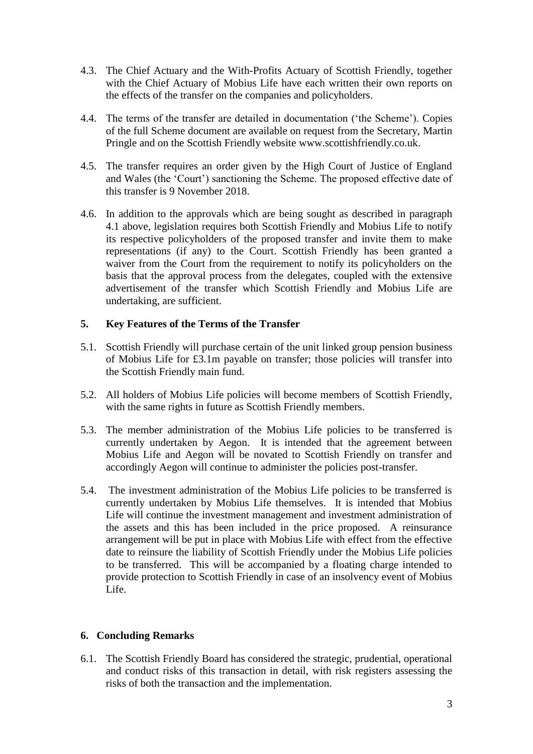- 4.3. The Chief Actuary and the With-Profits Actuary of Scottish Friendly, together with the Chief Actuary of Mobius Life have each written their own reports on the effects of the transfer on the companies and policyholders.
- 4.4. The terms of the transfer are detailed in documentation ('the Scheme'). Copies of the full Scheme document are available on request from the Secretary, Martin Pringle and on the Scottish Friendly website www.scottishfriendly.co.uk.
- 4.5. The transfer requires an order given by the High Court of Justice of England and Wales (the 'Court') sanctioning the Scheme. The proposed effective date of this transfer is 9 November 2018.
- 4.6. In addition to the approvals which are being sought as described in paragraph 4.1 above, legislation requires both Scottish Friendly and Mobius Life to notify its respective policyholders of the proposed transfer and invite them to make representations (if any) to the Court. Scottish Friendly has been granted a waiver from the Court from the requirement to notify its policyholders on the basis that the approval process from the delegates, coupled with the extensive advertisement of the transfer which Scottish Friendly and Mobius Life are undertaking, are sufficient.

### **5. Key Features of the Terms of the Transfer**

- 5.1. Scottish Friendly will purchase certain of the unit linked group pension business of Mobius Life for £3.1m payable on transfer; those policies will transfer into the Scottish Friendly main fund.
- 5.2. All holders of Mobius Life policies will become members of Scottish Friendly, with the same rights in future as Scottish Friendly members.
- 5.3. The member administration of the Mobius Life policies to be transferred is currently undertaken by Aegon. It is intended that the agreement between Mobius Life and Aegon will be novated to Scottish Friendly on transfer and accordingly Aegon will continue to administer the policies post-transfer.
- 5.4. The investment administration of the Mobius Life policies to be transferred is currently undertaken by Mobius Life themselves. It is intended that Mobius Life will continue the investment management and investment administration of the assets and this has been included in the price proposed. A reinsurance arrangement will be put in place with Mobius Life with effect from the effective date to reinsure the liability of Scottish Friendly under the Mobius Life policies to be transferred. This will be accompanied by a floating charge intended to provide protection to Scottish Friendly in case of an insolvency event of Mobius Life.

## **6. Concluding Remarks**

6.1. The Scottish Friendly Board has considered the strategic, prudential, operational and conduct risks of this transaction in detail, with risk registers assessing the risks of both the transaction and the implementation.